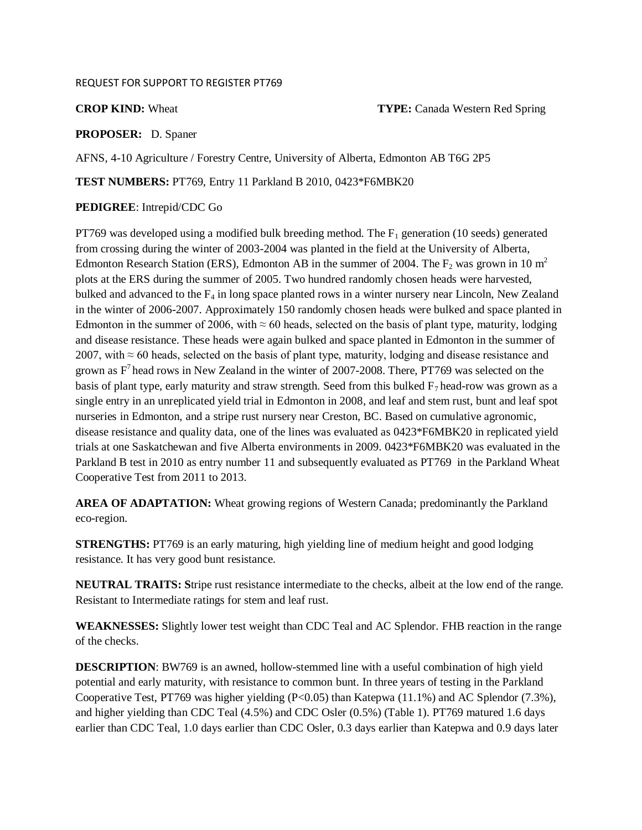#### REQUEST FOR SUPPORT TO REGISTER PT769

**CROP KIND:** Wheat **TYPE:** Canada Western Red Spring

#### **PROPOSER:** D. Spaner

AFNS, 4-10 Agriculture / Forestry Centre, University of Alberta, Edmonton AB T6G 2P5

**TEST NUMBERS:** PT769, Entry 11 Parkland B 2010, 0423\*F6MBK20

#### **PEDIGREE**: Intrepid/CDC Go

PT769 was developed using a modified bulk breeding method. The  $F_1$  generation (10 seeds) generated from crossing during the winter of 2003-2004 was planted in the field at the University of Alberta, Edmonton Research Station (ERS), Edmonton AB in the summer of 2004. The  $F_2$  was grown in 10 m<sup>2</sup> plots at the ERS during the summer of 2005. Two hundred randomly chosen heads were harvested, bulked and advanced to the  $F_4$  in long space planted rows in a winter nursery near Lincoln, New Zealand in the winter of 2006-2007. Approximately 150 randomly chosen heads were bulked and space planted in Edmonton in the summer of 2006, with  $\approx 60$  heads, selected on the basis of plant type, maturity, lodging and disease resistance. These heads were again bulked and space planted in Edmonton in the summer of 2007, with  $\approx$  60 heads, selected on the basis of plant type, maturity, lodging and disease resistance and grown as  $F<sup>7</sup>$  head rows in New Zealand in the winter of 2007-2008. There, PT769 was selected on the basis of plant type, early maturity and straw strength. Seed from this bulked  $F_7$  head-row was grown as a single entry in an unreplicated yield trial in Edmonton in 2008, and leaf and stem rust, bunt and leaf spot nurseries in Edmonton, and a stripe rust nursery near Creston, BC. Based on cumulative agronomic, disease resistance and quality data, one of the lines was evaluated as 0423\*F6MBK20 in replicated yield trials at one Saskatchewan and five Alberta environments in 2009. 0423\*F6MBK20 was evaluated in the Parkland B test in 2010 as entry number 11 and subsequently evaluated as PT769 in the Parkland Wheat Cooperative Test from 2011 to 2013.

**AREA OF ADAPTATION:** Wheat growing regions of Western Canada; predominantly the Parkland eco-region.

**STRENGTHS:** PT769 is an early maturing, high yielding line of medium height and good lodging resistance. It has very good bunt resistance.

**NEUTRAL TRAITS: S**tripe rust resistance intermediate to the checks, albeit at the low end of the range. Resistant to Intermediate ratings for stem and leaf rust.

**WEAKNESSES:** Slightly lower test weight than CDC Teal and AC Splendor. FHB reaction in the range of the checks.

**DESCRIPTION**: BW769 is an awned, hollow-stemmed line with a useful combination of high yield potential and early maturity, with resistance to common bunt. In three years of testing in the Parkland Cooperative Test, PT769 was higher yielding (P<0.05) than Katepwa (11.1%) and AC Splendor (7.3%), and higher yielding than CDC Teal (4.5%) and CDC Osler (0.5%) (Table 1). PT769 matured 1.6 days earlier than CDC Teal, 1.0 days earlier than CDC Osler, 0.3 days earlier than Katepwa and 0.9 days later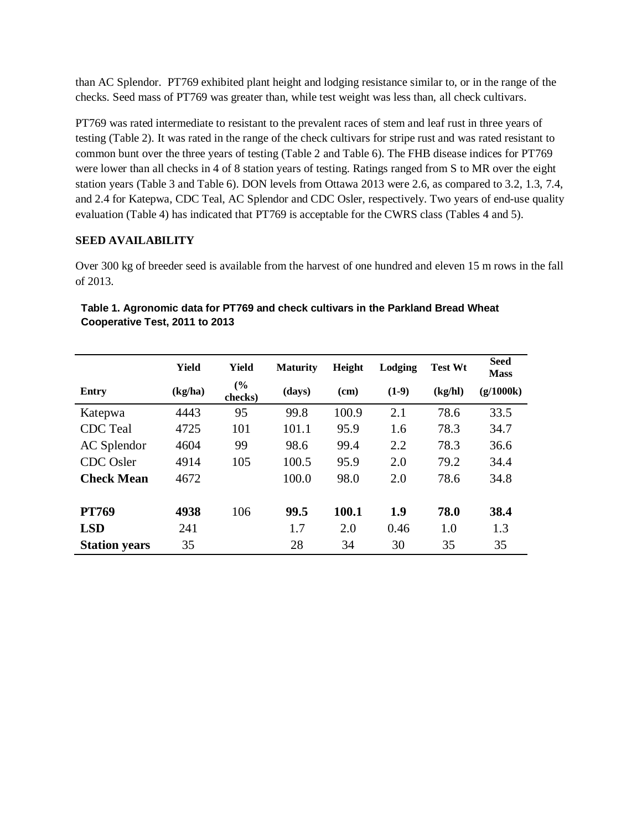than AC Splendor. PT769 exhibited plant height and lodging resistance similar to, or in the range of the checks. Seed mass of PT769 was greater than, while test weight was less than, all check cultivars.

PT769 was rated intermediate to resistant to the prevalent races of stem and leaf rust in three years of testing (Table 2). It was rated in the range of the check cultivars for stripe rust and was rated resistant to common bunt over the three years of testing (Table 2 and Table 6). The FHB disease indices for PT769 were lower than all checks in 4 of 8 station years of testing. Ratings ranged from S to MR over the eight station years (Table 3 and Table 6). DON levels from Ottawa 2013 were 2.6, as compared to 3.2, 1.3, 7.4, and 2.4 for Katepwa, CDC Teal, AC Splendor and CDC Osler, respectively. Two years of end-use quality evaluation (Table 4) has indicated that PT769 is acceptable for the CWRS class (Tables 4 and 5).

### **SEED AVAILABILITY**

Over 300 kg of breeder seed is available from the harvest of one hundred and eleven 15 m rows in the fall of 2013.

|                      | Yield   | <b>Yield</b>   | <b>Maturity</b> | Height | Lodging | <b>Test Wt</b> | <b>Seed</b><br><b>Mass</b> |
|----------------------|---------|----------------|-----------------|--------|---------|----------------|----------------------------|
| Entry                | (kg/ha) | (%)<br>checks) | (days)          | (cm)   | $(1-9)$ | (kg/hl)        | (g/1000k)                  |
| Katepwa              | 4443    | 95             | 99.8            | 100.9  | 2.1     | 78.6           | 33.5                       |
| <b>CDC</b> Teal      | 4725    | 101            | 101.1           | 95.9   | 1.6     | 78.3           | 34.7                       |
| AC Splendor          | 4604    | 99             | 98.6            | 99.4   | 2.2     | 78.3           | 36.6                       |
| <b>CDC</b> Osler     | 4914    | 105            | 100.5           | 95.9   | 2.0     | 79.2           | 34.4                       |
| <b>Check Mean</b>    | 4672    |                | 100.0           | 98.0   | 2.0     | 78.6           | 34.8                       |
| <b>PT769</b>         | 4938    | 106            | 99.5            | 100.1  | 1.9     | 78.0           | 38.4                       |
| <b>LSD</b>           | 241     |                | 1.7             | 2.0    | 0.46    | 1.0            | 1.3                        |
| <b>Station years</b> | 35      |                | 28              | 34     | 30      | 35             | 35                         |

| Table 1. Agronomic data for PT769 and check cultivars in the Parkland Bread Wheat |  |
|-----------------------------------------------------------------------------------|--|
| Cooperative Test, 2011 to 2013                                                    |  |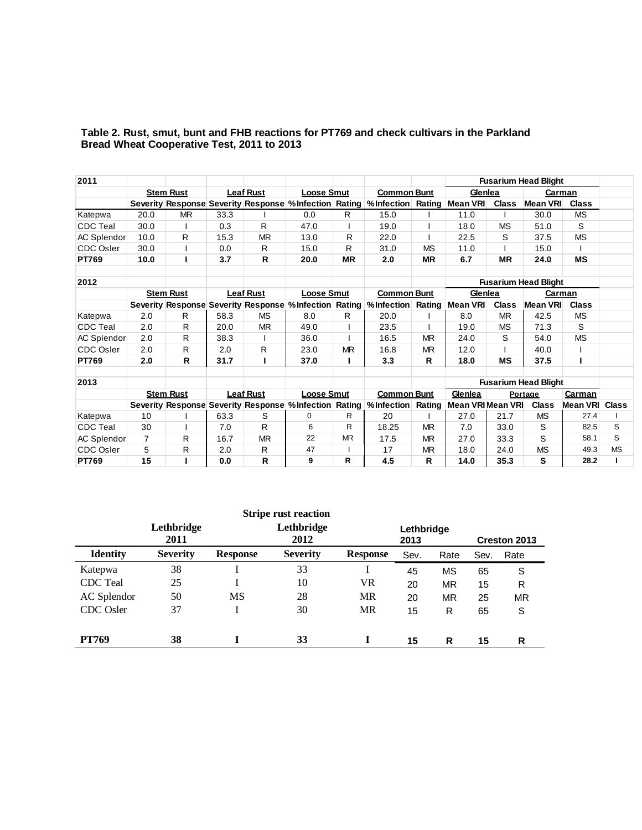| 2011               |                |                  |      |                  |                   |           |                                                                           |           |                   |              | <b>Fusarium Head Blight</b> |              |           |
|--------------------|----------------|------------------|------|------------------|-------------------|-----------|---------------------------------------------------------------------------|-----------|-------------------|--------------|-----------------------------|--------------|-----------|
|                    |                | <b>Stem Rust</b> |      | <b>Leaf Rust</b> | <b>Loose Smut</b> |           | <b>Common Bunt</b>                                                        |           | Glenlea           |              | Carman                      |              |           |
|                    |                |                  |      |                  |                   |           | Severity Response Severity Response % Infection Rating % Infection        | Rating    | <b>Mean VRI</b>   | <b>Class</b> | Mean VRI                    | <b>Class</b> |           |
| Katepwa            | 20.0           | <b>MR</b>        | 33.3 |                  | 0.0               | R.        | 15.0                                                                      |           | 11.0              |              | 30.0                        | <b>MS</b>    |           |
| <b>CDC</b> Teal    | 30.0           |                  | 0.3  | R                | 47.0              |           | 19.0                                                                      |           | 18.0              | <b>MS</b>    | 51.0                        | S            |           |
| <b>AC Splendor</b> | 10.0           | R                | 15.3 | <b>MR</b>        | 13.0              | R         | 22.0                                                                      |           | 22.5              | S            | 37.5                        | <b>MS</b>    |           |
| <b>CDC Osler</b>   | 30.0           |                  | 0.0  | R                | 15.0              | R         | 31.0                                                                      | <b>MS</b> | 11.0              |              | 15.0                        |              |           |
| <b>PT769</b>       | 10.0           |                  | 3.7  | R                | 20.0              | <b>MR</b> | 2.0                                                                       | <b>MR</b> | 6.7               | <b>MR</b>    | 24.0                        | <b>MS</b>    |           |
|                    |                |                  |      |                  |                   |           |                                                                           |           |                   |              |                             |              |           |
| 2012               |                |                  |      |                  |                   |           |                                                                           |           |                   |              | <b>Fusarium Head Blight</b> |              |           |
|                    |                | <b>Stem Rust</b> |      | <b>Leaf Rust</b> | <b>Loose Smut</b> |           | <b>Common Bunt</b>                                                        |           | Glenlea           |              | Carman                      |              |           |
|                    |                |                  |      |                  |                   |           | Severity Response Severity Response % Infection Rating % Infection Rating |           | Mean VRI          | <b>Class</b> | <b>Mean VRI</b>             | <b>Class</b> |           |
| Katepwa            | 2.0            | R                | 58.3 | <b>MS</b>        | 8.0               | R.        | 20.0                                                                      |           | 8.0               | <b>MR</b>    | 42.5                        | <b>MS</b>    |           |
| <b>CDC</b> Teal    | 2.0            | R                | 20.0 | <b>MR</b>        | 49.0              |           | 23.5                                                                      |           | 19.0              | <b>MS</b>    | 71.3                        | S            |           |
| AC Splendor        | 2.0            | R                | 38.3 |                  | 36.0              |           | 16.5                                                                      | <b>MR</b> | 24.0              | S            | 54.0                        | <b>MS</b>    |           |
| <b>CDC Osler</b>   | 2.0            | R                | 2.0  | R                | 23.0              | <b>MR</b> | 16.8                                                                      | <b>MR</b> | 12.0              |              | 40.0                        |              |           |
| <b>PT769</b>       | 2.0            | R                | 31.7 | ı                | 37.0              |           | 3.3                                                                       | R         | 18.0              | <b>MS</b>    | 37.5                        | ı            |           |
|                    |                |                  |      |                  |                   |           |                                                                           |           |                   |              |                             |              |           |
| 2013               |                |                  |      |                  |                   |           |                                                                           |           |                   |              | <b>Fusarium Head Blight</b> |              |           |
|                    |                | <b>Stem Rust</b> |      | <b>Leaf Rust</b> | <b>Loose Smut</b> |           | <b>Common Bunt</b>                                                        |           | Glenlea           |              | Portage                     | Carman       |           |
|                    |                |                  |      |                  |                   |           | Severity Response Severity Response % Infection Rating % Infection        | Rating    | Mean VRI Mean VRI |              | <b>Class</b>                | Mean VRI     | Class     |
| Katepwa            | 10             |                  | 63.3 | S                | 0                 | R         | 20                                                                        |           | 27.0              | 21.7         | <b>MS</b>                   | 27.4         |           |
| <b>CDC</b> Teal    | 30             |                  | 7.0  | R                | 6                 | R         | 18.25                                                                     | <b>MR</b> | 7.0               | 33.0         | S                           | 82.5         | S         |
| AC Splendor        | $\overline{7}$ | R                | 16.7 | <b>MR</b>        | 22                | <b>MR</b> | 17.5                                                                      | <b>MR</b> | 27.0              | 33.3         | S                           | 58.1         | S         |
| <b>CDC Osler</b>   | 5              | R                | 2.0  | R                | 47                |           | 17                                                                        | <b>MR</b> | 18.0              | 24.0         | <b>MS</b>                   | 49.3         | <b>MS</b> |
| <b>PT769</b>       | 15             |                  | 0.0  | R                | 9                 | R         | 4.5                                                                       | R         | 14.0              | 35.3         | S                           | 28.2         |           |

#### **Table 2. Rust, smut, bunt and FHB reactions for PT769 and check cultivars in the Parkland Bread Wheat Cooperative Test, 2011 to 2013**

|                 |                    |                 | <b>Stripe rust reaction</b> |                 |                    |           |      |              |
|-----------------|--------------------|-----------------|-----------------------------|-----------------|--------------------|-----------|------|--------------|
|                 | Lethbridge<br>2011 |                 | Lethbridge<br>2012          |                 | Lethbridge<br>2013 |           |      | Creston 2013 |
| <b>Identity</b> | <b>Severity</b>    | <b>Response</b> | <b>Severity</b>             | <b>Response</b> | Sev.               | Rate      | Sev. | Rate         |
| Katepwa         | 38                 |                 | 33                          |                 | 45                 | <b>MS</b> | 65   | S            |
| <b>CDC</b> Teal | 25                 |                 | 10                          | VR              | 20                 | <b>MR</b> | 15   | R            |
| AC Splendor     | 50                 | <b>MS</b>       | 28                          | <b>MR</b>       | 20                 | ΜR        | 25   | <b>MR</b>    |
| CDC Osler       | 37                 |                 | 30                          | MR              | 15                 | R         | 65   | S            |
|                 |                    |                 |                             |                 |                    |           |      |              |
| <b>PT769</b>    | 38                 |                 | 33                          |                 | 15                 | R         | 15   | R            |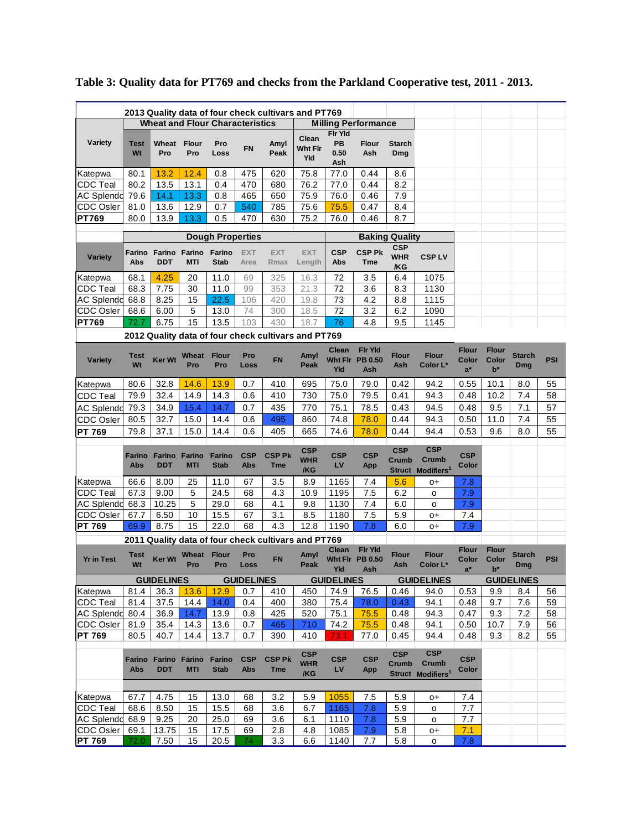|                                   |                      |                                           |                      |                              |                    |                             | 2013 Quality data of four check cultivars and PT769 |                              |                                                 |                                      |                                                      |                                |                                |                             |          |
|-----------------------------------|----------------------|-------------------------------------------|----------------------|------------------------------|--------------------|-----------------------------|-----------------------------------------------------|------------------------------|-------------------------------------------------|--------------------------------------|------------------------------------------------------|--------------------------------|--------------------------------|-----------------------------|----------|
|                                   |                      | <b>Wheat and Flour Characteristics</b>    |                      |                              |                    |                             |                                                     |                              | <b>Milling Performance</b>                      |                                      |                                                      |                                |                                |                             |          |
| Variety                           | <b>Test</b><br>Wt    | Wheat<br>Pro                              | <b>Flour</b><br>Pro  | Pro<br>Loss                  | FN                 | Amyl<br>Peak                | Clean<br>Wht Fir<br>Yld                             | Fir Yid<br>PB<br>0.50<br>Ash | <b>Flour</b><br>Ash                             | <b>Starch</b><br>Dmg                 |                                                      |                                |                                |                             |          |
| Katepwa                           | 80.1                 | 13.2                                      | 12.4                 | 0.8                          | 475                | 620                         | 75.8                                                | 77.0                         | 0.44                                            | 8.6                                  |                                                      |                                |                                |                             |          |
| <b>CDC</b> Teal                   | 80.2                 | 13.5                                      | 13.1                 | 0.4                          | 470                | 680                         | 76.2                                                | 77.0                         | 0.44                                            | 8.2                                  |                                                      |                                |                                |                             |          |
| AC Splendo                        | 79.6                 | 14.1                                      | 13.3                 | 0.8                          | 465                | 650                         | 75.9                                                | 76.0                         | 0.46                                            | 7.9                                  |                                                      |                                |                                |                             |          |
| <b>CDC Osler</b>                  | 81.0                 | 13.6<br>13.9                              | 12.9                 | 0.7<br>0.5                   | 540                | 785                         | 75.6<br>75.2                                        | 75.5                         | 0.47<br>0.46                                    | 8.4<br>8.7                           |                                                      |                                |                                |                             |          |
| <b>PT769</b>                      | 80.0                 |                                           | 13.3                 |                              | 470                | 630                         |                                                     | 76.0                         |                                                 |                                      |                                                      |                                |                                |                             |          |
|                                   |                      |                                           |                      | <b>Dough Properties</b>      |                    |                             |                                                     |                              |                                                 | <b>Baking Quality</b>                |                                                      |                                |                                |                             |          |
| <b>Variety</b>                    | Farino<br>Abs        | Farino<br><b>DDT</b>                      | Farino<br>MTI        | Farino<br><b>Stab</b>        | <b>EXT</b><br>Area | <b>EXT</b><br>Rmax          | <b>EXT</b><br>Length                                | <b>CSP</b><br>Abs            | <b>CSP Pk</b><br>Tme                            | <b>CSP</b><br><b>WHR</b><br>/KG      | <b>CSPLV</b>                                         |                                |                                |                             |          |
| Katepwa                           | 68.1                 | 4.25                                      | 20                   | 11.0                         | 69                 | 325                         | 16.3                                                | 72                           | 3.5                                             | 6.4                                  | 1075                                                 |                                |                                |                             |          |
| CDC Teal                          | 68.3                 | 7.75                                      | 30                   | 11.0                         | 99                 | 353                         | 21.3                                                | 72                           | 3.6                                             | 8.3                                  | 1130                                                 |                                |                                |                             |          |
| <b>AC Splendo</b>                 | 68.8                 | 8.25                                      | 15                   | 22.5                         | 106                | 420                         | 19.8                                                | 73                           | 4.2                                             | 8.8                                  | 1115                                                 |                                |                                |                             |          |
| <b>CDC Osler</b>                  | 68.6                 | 6.00                                      | 5                    | 13.0                         | 74                 | 300                         | 18.5                                                | 72                           | 3.2                                             | 6.2                                  | 1090                                                 |                                |                                |                             |          |
| <b>PT769</b>                      | 72.7                 | 6.75                                      | 15                   | 13.5                         | 103                | 430                         | 18.7                                                | 76                           | 4.8                                             | 9.5                                  | 1145                                                 |                                |                                |                             |          |
|                                   |                      |                                           |                      |                              |                    |                             | 2012 Quality data of four check cultivars and PT769 |                              |                                                 |                                      |                                                      |                                |                                |                             |          |
| <b>Variety</b>                    | <b>Test</b><br>Wt    | Ker Wt                                    | Wheat<br>Pro         | <b>Flour</b><br>Pro          | Pro<br>Loss        | <b>FN</b>                   | Amyl<br>Peak                                        | Clean<br>Yld                 | <b>Fir Yid</b><br>Wht Fir PB 0.50<br>Ash        | Flour<br>Ash                         | <b>Flour</b><br>Color L*                             | <b>Flour</b><br>Color<br>$a^*$ | <b>Flour</b><br>Color<br>$b^*$ | <b>Starch</b><br>Dmg        | PSI      |
| Katepwa                           | 80.6                 | 32.8                                      | 14.6                 | 13.9                         | 0.7                | 410                         | 695                                                 | 75.0                         | 79.0                                            | 0.42                                 | 94.2                                                 | 0.55                           | 10.1                           | 8.0                         | 55       |
| <b>CDC</b> Teal                   | 79.9                 | 32.4                                      | 14.9                 | 14.3                         | 0.6                | 410                         | 730                                                 | 75.0                         | 79.5                                            | 0.41                                 | 94.3                                                 | 0.48                           | 10.2                           | 7.4                         | 58       |
| <b>AC Splendd</b>                 | 79.3                 | 34.9                                      | 15.4                 | 14.7                         | 0.7                | 435                         | 770                                                 | 75.1                         | 78.5                                            | 0.43                                 | 94.5                                                 | 0.48                           | 9.5                            | 7.1                         | 57       |
| <b>CDC Osler</b>                  | 80.5                 | 32.7                                      | 15.0                 | 14.4                         | 0.6                | 495                         | 860                                                 | 74.8                         | 78.0                                            | 0.44                                 | 94.3                                                 | 0.50                           | 11.0                           | 7.4                         | 55       |
| <b>PT 769</b>                     | 79.8                 | 37.1                                      | 15.0                 | 14.4                         | 0.6                | 405                         | 665                                                 | 74.6                         | 78.0                                            | 0.44                                 | 94.4                                                 | 0.53                           | 9.6                            | 8.0                         | 55       |
|                                   | <b>Farino</b><br>Abs | Farino<br><b>DDT</b>                      | Farino<br><b>MTI</b> | <b>Farino</b><br><b>Stab</b> | <b>CSP</b><br>Abs  | <b>CSP Pk</b><br><b>Tme</b> | <b>CSP</b><br><b>WHR</b><br>/KG                     | <b>CSP</b><br>LV             | <b>CSP</b><br>App                               | <b>CSP</b><br>Crumb<br><b>Struct</b> | <b>CSP</b><br>Crumb<br>Modifiers <sup>1</sup>        | <b>CSP</b><br>Color            |                                |                             |          |
| Katepwa                           | 66.6                 | 8.00                                      | 25                   | 11.0                         | 67                 | 3.5                         | 8.9                                                 | 1165                         | 7.4                                             | 5.6                                  | O+                                                   | 7.8                            |                                |                             |          |
| <b>CDC</b> Teal                   | 67.3                 | 9.00                                      | 5                    | 24.5                         | 68                 | 4.3                         | 10.9                                                | 1195                         | 7.5                                             | 6.2                                  | o                                                    | 7.9                            |                                |                             |          |
| AC Splendd                        | 68.3                 | 10.25                                     | 5                    | 29.0                         | 68                 | 4.1                         | 9.8                                                 | 1130                         | 7.4                                             | 6.0                                  | o                                                    | 7.9                            |                                |                             |          |
| CDC Osler<br><b>PT 769</b>        | 67.7<br>69.9         | 6.50<br>8.75                              | 10<br>15             | 15.5<br>22.0                 | 67<br>68           | 3.1<br>4.3                  | 8.5<br>12.8                                         | 1180<br>1190                 | 7.5<br>7.8                                      | 5.9<br>6.0                           | 0+<br>O+                                             | 7.4<br>7.9                     |                                |                             |          |
|                                   |                      |                                           |                      |                              |                    |                             | 2011 Quality data of four check cultivars and PT769 |                              |                                                 |                                      |                                                      |                                |                                |                             |          |
| <b>Yr in Test</b>                 | <b>Test</b><br>Wt    | <b>Ker Wt</b>                             | Wheat Flour<br>Pro   | Pro                          | Pro<br>Loss        | <b>FN</b>                   | Amyl<br>Peak                                        | Clean<br>Yld                 | <b>Fir Yid</b><br>Wht Fir PB 0.50<br><b>Ash</b> | <b>Flour</b><br>Ash                  | <b>Flour</b><br>Color L*                             | <b>Flour</b><br>Color<br>$a^*$ | <b>Flour</b><br>Color<br>$b^*$ | <b>Starch</b><br><b>Dmg</b> | PSI      |
|                                   |                      | <b>GUIDELINES</b>                         |                      |                              | <b>GUIDELINES</b>  |                             |                                                     | <b>GUIDELINES</b>            |                                                 |                                      | <b>GUIDELINES</b>                                    |                                |                                | <b>GUIDELINES</b>           |          |
| Katepwa                           | 81.4                 | 36.3                                      | 13.6                 | 12.9                         | 0.7                | 410                         | 450                                                 | 74.9                         | 76.5                                            | 0.46                                 | 94.0                                                 | 0.53                           | 9.9                            | 8.4                         | 56       |
| CDC Teal                          | 81.4                 | 37.5                                      | 14.4                 | 14.0                         | 0.4                | 400                         | 380                                                 | 75.4                         | 78.0                                            | 0.43                                 | 94.1                                                 | 0.48                           | 9.7                            | 7.6                         | 59       |
| AC Splendd 80.4                   |                      | 36.9                                      | 14.7                 | 13.9                         | 0.8                | 425                         | 520                                                 | 75.1                         | 75.5                                            | 0.48                                 | 94.3                                                 | 0.47                           | 9.3                            | 7.2                         | 58       |
| <b>CDC</b> Osler<br><b>PT 769</b> | 81.9<br>80.5         | 35.4<br>40.7                              | 14.3<br>14.4         | 13.6<br>13.7                 | 0.7<br>0.7         | 465<br>390                  | 710<br>410                                          | 74.2<br>73.1                 | 75.5<br>77.0                                    | 0.48<br>0.45                         | 94.1<br>94.4                                         | 0.50<br>0.48                   | 10.7<br>9.3                    | 7.9<br>8.2                  | 56<br>55 |
|                                   | Abs                  | Farino Farino Farino Farino<br><b>DDT</b> | <b>MTI</b>           | <b>Stab</b>                  | <b>CSP</b><br>Abs  | <b>CSP Pk</b><br><b>Tme</b> | <b>CSP</b><br><b>WHR</b><br>/KG                     | <b>CSP</b><br><b>LV</b>      | <b>CSP</b><br>App                               | <b>CSP</b><br>Crumb                  | <b>CSP</b><br>Crumb<br>Struct Modifiers <sup>1</sup> | <b>CSP</b><br>Color            |                                |                             |          |
|                                   |                      |                                           |                      |                              |                    |                             |                                                     |                              |                                                 |                                      |                                                      |                                |                                |                             |          |
| Katepwa                           | 67.7                 | 4.75                                      | 15                   | 13.0                         | 68                 | 3.2                         | 5.9                                                 | 1055                         | 7.5                                             | 5.9                                  | 0+                                                   | 7.4                            |                                |                             |          |
| CDC Teal                          | 68.6                 | 8.50                                      | 15                   | 15.5                         | 68                 | 3.6                         | 6.7                                                 | 1165                         | 7.8                                             | 5.9                                  | o                                                    | 7.7                            |                                |                             |          |
| <b>AC Splendd</b><br>CDC Osler    | 68.9<br>69.1         | 9.25<br>13.75                             | 20<br>15             | 25.0<br>17.5                 | 69<br>69           | 3.6<br>2.8                  | 6.1<br>4.8                                          | 1110<br>1085                 | 7.8<br>7.9                                      | 5.9<br>5.8                           | o<br>0+                                              | 7.7<br>7.1                     |                                |                             |          |
| <b>PT 769</b>                     | 72.0                 | 7.50                                      | 15                   | 20.5                         | 74.                | 3.3                         | 6.6                                                 | 1140                         | 7.7                                             | 5.8                                  | о                                                    | 7.8                            |                                |                             |          |
|                                   |                      |                                           |                      |                              |                    |                             |                                                     |                              |                                                 |                                      |                                                      |                                |                                |                             |          |

# **Table 3: Quality data for PT769 and checks from the Parkland Cooperative test, 2011 - 2013.**